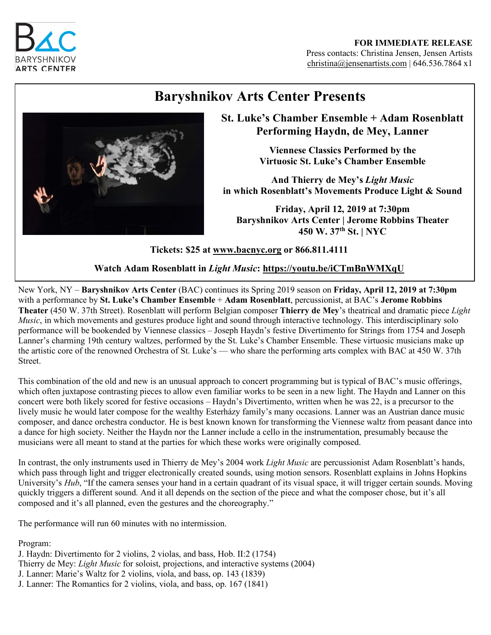

#### **FOR IMMEDIATE RELEASE** Press contacts: Christina Jensen, Jensen Artists christina@jensenartists.com | 646.536.7864 x1

# **Baryshnikov Arts Center Presents**



## **St. Luke's Chamber Ensemble + Adam Rosenblatt Performing Haydn, de Mey, Lanner**

**Viennese Classics Performed by the Virtuosic St. Luke's Chamber Ensemble**

**And Thierry de Mey's** *Light Music* **in which Rosenblatt's Movements Produce Light & Sound**

**Friday, April 12, 2019 at 7:30pm Baryshnikov Arts Center | Jerome Robbins Theater 450 W. 37th St. | NYC** 

## **Tickets: \$25 at www.bacnyc.org or 866.811.4111**

**Watch Adam Rosenblatt in** *Light Music***: https://youtu.be/iCTmBnWMXqU**

New York, NY – **Baryshnikov Arts Center** (BAC) continues its Spring 2019 season on **Friday, April 12, 2019 at 7:30pm** with a performance by **St. Luke's Chamber Ensemble** + **Adam Rosenblatt**, percussionist, at BAC's **Jerome Robbins Theater** (450 W. 37th Street). Rosenblatt will perform Belgian composer **Thierry de Mey**'s theatrical and dramatic piece *Light Music*, in which movements and gestures produce light and sound through interactive technology. This interdisciplinary solo performance will be bookended by Viennese classics – Joseph Haydn's festive Divertimento for Strings from 1754 and Joseph Lanner's charming 19th century waltzes, performed by the St. Luke's Chamber Ensemble. These virtuosic musicians make up the artistic core of the renowned Orchestra of St. Luke's — who share the performing arts complex with BAC at 450 W. 37th **Street**.

This combination of the old and new is an unusual approach to concert programming but is typical of BAC's music offerings, which often juxtapose contrasting pieces to allow even familiar works to be seen in a new light. The Haydn and Lanner on this concert were both likely scored for festive occasions – Haydn's Divertimento, written when he was 22, is a precursor to the lively music he would later compose for the wealthy Esterházy family's many occasions. Lanner was an Austrian dance music composer, and dance orchestra conductor. He is best known known for transforming the Viennese waltz from peasant dance into a dance for high society. Neither the Haydn nor the Lanner include a cello in the instrumentation, presumably because the musicians were all meant to stand at the parties for which these works were originally composed.

In contrast, the only instruments used in Thierry de Mey's 2004 work *Light Music* are percussionist Adam Rosenblatt's hands, which pass through light and trigger electronically created sounds, using motion sensors. Rosenblatt explains in Johns Hopkins University's *Hub*, "If the camera senses your hand in a certain quadrant of its visual space, it will trigger certain sounds. Moving quickly triggers a different sound. And it all depends on the section of the piece and what the composer chose, but it's all composed and it's all planned, even the gestures and the choreography."

The performance will run 60 minutes with no intermission.

Program:

J. Haydn: Divertimento for 2 violins, 2 violas, and bass, Hob. II:2 (1754) Thierry de Mey: *Light Music* for soloist, projections, and interactive systems (2004) J. Lanner: Marie's Waltz for 2 violins, viola, and bass, op. 143 (1839) J. Lanner: The Romantics for 2 violins, viola, and bass, op. 167 (1841)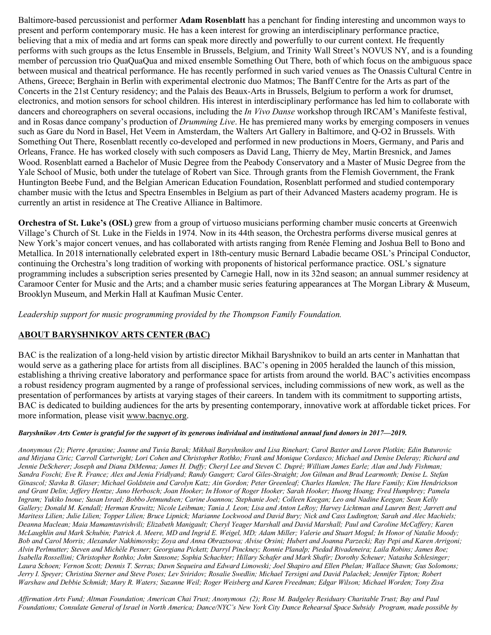Baltimore-based percussionist and performer **Adam Rosenblatt** has a penchant for finding interesting and uncommon ways to present and perform contemporary music. He has a keen interest for growing an interdisciplinary performance practice, believing that a mix of media and art forms can speak more directly and powerfully to our current context. He frequently performs with such groups as the Ictus Ensemble in Brussels, Belgium, and Trinity Wall Street's NOVUS NY, and is a founding member of percussion trio QuaQuaQua and mixed ensemble Something Out There, both of which focus on the ambiguous space between musical and theatrical performance. He has recently performed in such varied venues as The Onassis Cultural Centre in Athens, Greece; Berghain in Berlin with experimental electronic duo Matmos; The Banff Centre for the Arts as part of the Concerts in the 21st Century residency; and the Palais des Beaux-Arts in Brussels, Belgium to perform a work for drumset, electronics, and motion sensors for school children. His interest in interdisciplinary performance has led him to collaborate with dancers and choreographers on several occasions, including the *In Vivo Danse* workshop through IRCAM's Manifeste festival, and in Rosas dance company's production of *Drumming Live*. He has premiered many works by emerging composers in venues such as Gare du Nord in Basel, Het Veem in Amsterdam, the Walters Art Gallery in Baltimore, and Q-O2 in Brussels. With Something Out There, Rosenblatt recently co-developed and performed in new productions in Moers, Germany, and Paris and Orleans, France. He has worked closely with such composers as David Lang, Thierry de Mey, Martin Bresnick, and James Wood. Rosenblatt earned a Bachelor of Music Degree from the Peabody Conservatory and a Master of Music Degree from the Yale School of Music, both under the tutelage of Robert van Sice. Through grants from the Flemish Government, the Frank Huntington Beebe Fund, and the Belgian American Education Foundation, Rosenblatt performed and studied contemporary chamber music with the Ictus and Spectra Ensembles in Belgium as part of their Advanced Masters academy program. He is currently an artist in residence at The Creative Alliance in Baltimore.

**Orchestra of St. Luke's (OSL)** grew from a group of virtuoso musicians performing chamber music concerts at Greenwich Village's Church of St. Luke in the Fields in 1974. Now in its 44th season, the Orchestra performs diverse musical genres at New York's major concert venues, and has collaborated with artists ranging from Renée Fleming and Joshua Bell to Bono and Metallica. In 2018 internationally celebrated expert in 18th-century music Bernard Labadie became OSL's Principal Conductor, continuing the Orchestra's long tradition of working with proponents of historical performance practice. OSL's signature programming includes a subscription series presented by Carnegie Hall, now in its 32nd season; an annual summer residency at Caramoor Center for Music and the Arts; and a chamber music series featuring appearances at The Morgan Library & Museum, Brooklyn Museum, and Merkin Hall at Kaufman Music Center.

*Leadership support for music programming provided by the Thompson Family Foundation.*

### **ABOUT BARYSHNIKOV ARTS CENTER (BAC)**

BAC is the realization of a long-held vision by artistic director Mikhail Baryshnikov to build an arts center in Manhattan that would serve as a gathering place for artists from all disciplines. BAC's opening in 2005 heralded the launch of this mission, establishing a thriving creative laboratory and performance space for artists from around the world. BAC's activities encompass a robust residency program augmented by a range of professional services, including commissions of new work, as well as the presentation of performances by artists at varying stages of their careers. In tandem with its commitment to supporting artists, BAC is dedicated to building audiences for the arts by presenting contemporary, innovative work at affordable ticket prices. For more information, please visit www.bacnyc.org.

#### *Baryshnikov Arts Center is grateful for the support of its generous individual and institutional annual fund donors in 2017––2019.*

*Anonymous (2); Pierre Apraxine; Joanne and Tuvia Barak; Mikhail Baryshnikov and Lisa Rinehart; Carol Baxter and Loren Plotkin; Edin Buturovic and Mirjana Ciric; Carroll Cartwright; Lori Cohen and Christopher Rothko; Frank and Monique Cordasco; Michael and Denise Deleray; Richard and Jennie DeScherer; Joseph and Diana DiMenna; James H. Duffy; Cheryl Lee and Steven C. Dupré; William James Earle; Alan and Judy Fishman; Sandra Foschi; Eve R. France; Alex and Jenia Fridlyand; Randy Gaugert; Carol Giles-Straight; Jon Gilman and Brad Learmonth; Denise L. Stefan Ginascol; Slavka B. Glaser; Michael Goldstein and Carolyn Katz; Ain Gordon; Peter Greenleaf; Charles Hamlen; The Hare Family; Kim Hendrickson and Grant Delin; Jeffery Hentze; Jano Herbosch; Joan Hooker; In Honor of Roger Hooker; Sarah Hooker; Huong Hoang; Fred Humphrey; Pamela Ingram; Yukiko Inoue; Susan Israel; Bobbo Jetmundsen; Carine Joannou; Stephanie Joel; Colleen Keegan; Leo and Nadine Keegan; Sean Kelly Gallery; Donald M. Kendall; Herman Krawitz; Nicole Leibman; Tania J. Leon; Lisa and Anton LeRoy; Harvey Lichtman and Lauren Best; Jarrett and Maritess Lilien; Julie Lilien; Topper Lilien; Bruce Lipnick; Marianne Lockwood and David Bury; Nick and Cass Ludington; Sarah and Alec Machiels; Deanna Maclean; Maia Mamamtavrishvili; Elizabeth Manigault; Cheryl Yeager Marshall and David Marshall; Paul and Caroline McCaffery; Karen McLaughlin and Mark Schubin; Patrick A. Meere, MD and Ingrid E. Weigel, MD; Adam Miller; Valerie and Stuart Mogul; In Honor of Natalie Moody; Bob and Carol Morris; Alexander Nakhimovsky; Zoya and Anna Obraztsova; Alvise Orsini; Hubert and Joanna Parzecki; Ray Pepi and Karen Arrigoni; Alvin Perlmutter; Steven and Michèle Pesner; Georgiana Pickett; Darryl Pinckney; Ronnie Planalp; Piedad Rivadeneira; Laila Robins; James Roe; Isabella Rossellini; Christopher Rothko; John Sansone; Sophia Schachter; Hillary Schafer and Mark Shafir; Dorothy Scheuer; Natasha Schlesinger; Laura Schoen; Vernon Scott; Dennis T. Serras; Dawn Sequeira and Edward Limowski; Joel Shapiro and Ellen Phelan; Wallace Shawn; Gus Solomons; Jerry I. Speyer; Christina Sterner and Steve Poses; Lev Sviridov; Rosalie Swedlin; Michael Tersigni and David Palachek; Jennifer Tipton; Robert Warshaw and Debbie Schmidt; Mary R. Waters; Suzanne Weil; Roger Weisberg and Karen Freedman; Edgar Wilson; Michael Worden; Tony Zisa*

*Affirmation Arts Fund; Altman Foundation; American Chai Trust; Anonymous (2); Rose M. Badgeley Residuary Charitable Trust; Bay and Paul Foundations; Consulate General of Israel in North America; Dance/NYC's New York City Dance Rehearsal Space Subsidy Program, made possible by*